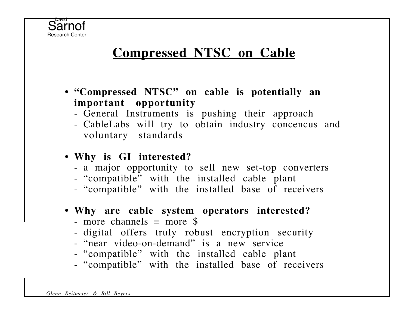

## **Compressed NTSC on Cable**

- **• "Compressed NTSC" on cable is potentially an important opportunity**
	- General Instruments is pushing their approach
	- CableLabs will try to obtain industry concencus and voluntary standards

#### **• Why is GI interested?**

- a major opportunity to sell new set-top converters
- "compatible" with the installed cable plant
- "compatible" with the installed base of receivers
- **• Why are cable system operators interested?**
	- more channels = more \$
	- digital offers truly robust encryption security
	- "near video-on-demand" is a new service
	- "compatible" with the installed cable plant
	- "compatible" with the installed base of receivers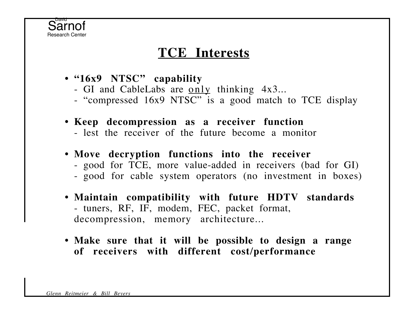

#### **TCE Interests**

- **• "16x9 NTSC" capability**
	- GI and CableLabs are <u>only</u> thinking 4x3...
	- "compressed 16x9 NTSC" is a good match to TCE display
- **• Keep decompression as a receiver function**
	- lest the receiver of the future become a monitor
- **• Move decryption functions into the receiver**
	- good for TCE, more value-added in receivers (bad for GI)
	- good for cable system operators (no investment in boxes)
- **• Maintain compatibility with future HDTV standards** tuners, RF, IF, modem, FEC, packet format, decompression, memory architecture...
- **• Make sure that it will be possible to design a range of receivers with different cost/performance**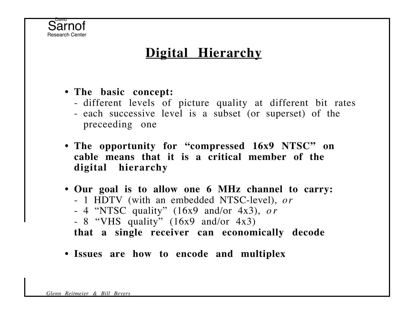

# **Digital Hierarchy**

- **• The basic concept:**
	- different levels of picture quality at different bit rates
	- each successive level is a subset (or superset) of the preceeding one
- **• The opportunity for "compressed 16x9 NTSC" on cable means that it is a critical member of the digital hierarchy**
- **• Our goal is to allow one 6 MHz channel to carry:** - 1 HDTV (with an embedded NTSC-level), *or* 4 "NTSC quality" (16x9 and/or 4x3), *<sup>o</sup> <sup>r</sup>* 8 "VHS quality" (16x9 and/or 4x3) **that a single receiver can economically decode**
- **• Issues are how to encode and multiplex**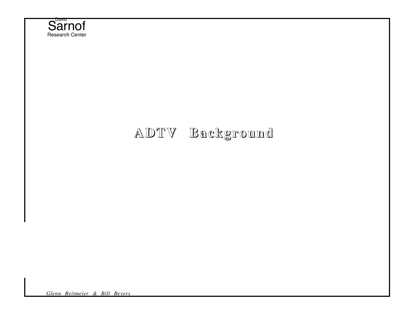

# **ADTV Background**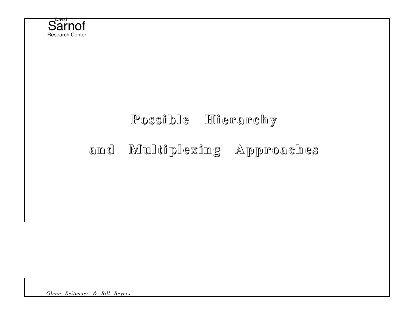| Sarno<br>ີ 1<br><b>Research Center</b> |                         |
|----------------------------------------|-------------------------|
|                                        |                         |
|                                        | Possible Hierarchy      |
| and                                    | Multiplexing Approaches |
|                                        |                         |
|                                        |                         |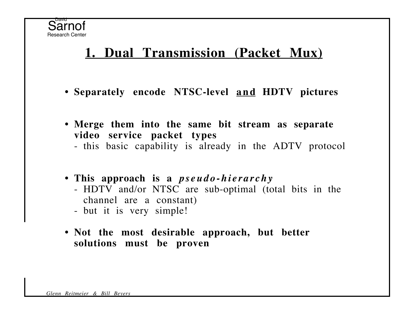## **1. Dual Transmission (Packet Mux)**

- **• Separately encode NTSC-level and HDTV pictures**
- **• Merge them into the same bit stream as separate video service packet types**
	- this basic capability is already in the ADTV protocol
- **• This approach is a** *pseudo-hierarchy*
	- HDTV and/or NTSC are sub-optimal (total bits in the channel are a constant)
	- but it is very simple!
- **• Not the most desirable approach, but better solutions must be proven**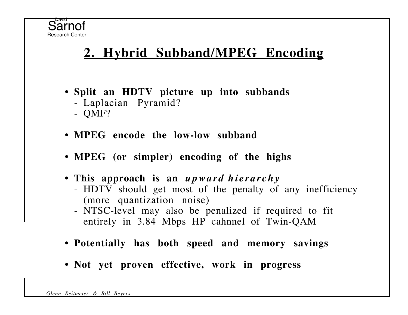# **2. Hybrid Subband/MPEG Encoding**

- **• Split an HDTV picture up into subbands**
	- Laplacian Pyramid?
	- QMF?
- **• MPEG encode the low-low subband**
- **• MPEG (or simpler) encoding of the highs**
- **• This approach is an** *upward hierarchy*
	- HDTV should get most of the penalty of any inefficiency (more quantization noise)
	- NTSC-level may also be penalized if required to fit entirely in 3.84 Mbps HP cahnnel of Twin-QAM
- **• Potentially has both speed and memory savings**
- **• Not yet proven effective, work in progress**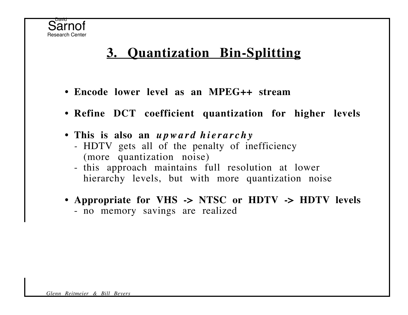### **3. Quantization Bin-Splitting**

- **• Encode lower level as an MPEG++ stream**
- **• Refine DCT coefficient quantization for higher levels**
- **• This is also an** *upward hierarchy*
	- *-* HDTV gets all of the penalty of inefficiency (more quantization noise)
	- this approach maintains full resolution at lower hierarchy levels, but with more quantization noise
- **• Appropriate for VHS -> NTSC or HDTV -> HDTV levels** no memory savings are realized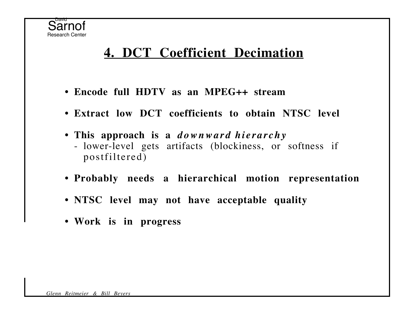

#### **4. DCT Coefficient Decimation**

- **• Encode full HDTV as an MPEG++ stream**
- **• Extract low DCT coefficients to obtain NTSC level**
- **• This approach is a** *downward hierarchy* lower-level gets artifacts (blockiness, or softness if postfiltered)
- **• Probably needs a hierarchical motion representation**
- **• NTSC level may not have acceptable quality**
- **• Work is in progress**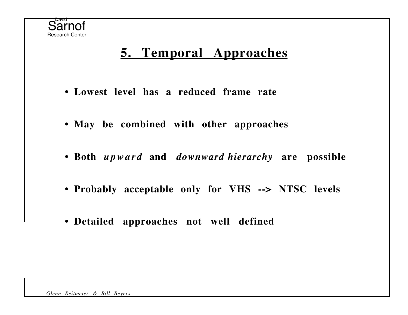### **5. Temporal Approaches**

- **• Lowest level has a reduced frame rate**
- **• May be combined with other approaches**
- **• Both** *upward* **and** *downward hierarchy* **are possible**
- **• Probably acceptable only for VHS --> NTSC levels**
- **• Detailed approaches not well defined**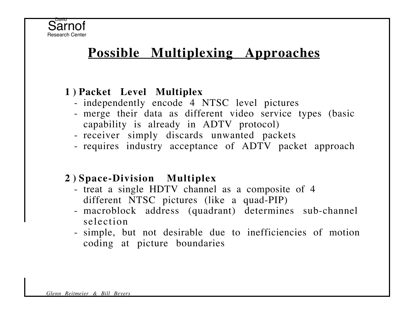# **Possible Multiplexing Approaches**

#### **1 ) Packet Level Multiplex**

- independently encode 4 NTSC level pictures
- merge their data as different video service types (basic capability is already in ADTV protocol)
- receiver simply discards unwanted packets
- requires industry acceptance of ADTV packet approach

#### **2 ) Space-Division Multiplex**

- treat a single HDTV channel as a composite of 4 different NTSC pictures (like a quad-PIP)
- macroblock address (quadrant) determines sub-channel selection
- simple, but not desirable due to inefficiencies of motion coding at picture boundaries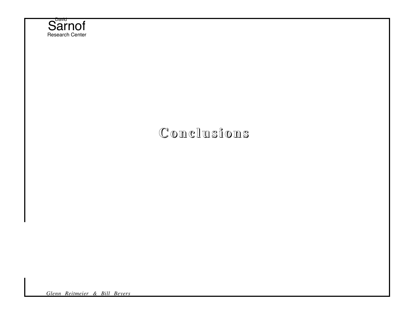

# **C o n c l u s i o n s**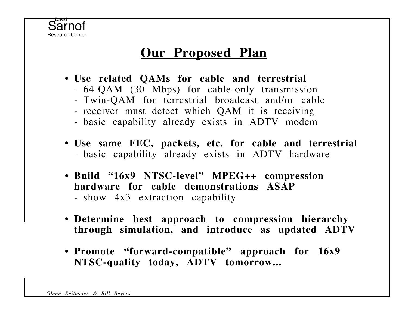

### **Our Proposed Plan**

- **• Use related QAMs for cable and terrestrial** 64-QAM (30 Mbps) for cable-only transmission - Twin-QAM for terrestrial broadcast and/or cable receiver must detect which QAM it is receiving basic capability already exists in ADTV modem
- **• Use same FEC, packets, etc. for cable and terrestrial** basic capability already exists in ADTV hardware
- **• Build "16x9 NTSC-level" MPEG++ compression hardware for cable demonstrations ASAP** show 4x3 extraction capability
- **• Determine best approach to compression hierarchy through simulation, and introduce as updated ADTV**
- **• Promote "forward-compatible" approach for 16x9 NTSC-quality today, ADTV tomorrow...**